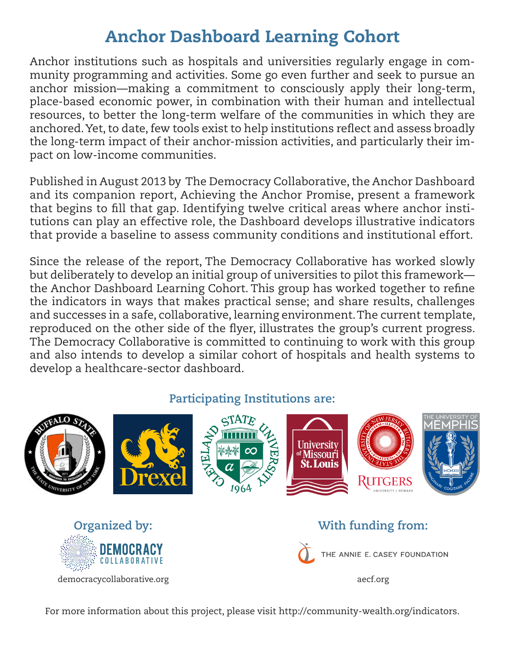## Anchor Dashboard Learning Cohort

Anchor institutions such as hospitals and universities regularly engage in community programming and activities. Some go even further and seek to pursue an anchor mission—making a commitment to consciously apply their long-term, place-based economic power, in combination with their human and intellectual resources, to better the long-term welfare of the communities in which they are anchored. Yet, to date, few tools exist to help institutions refect and assess broadly the long-term impact of their anchor-mission activities, and particularly their impact on low-income communities.

Published in August 2013 by The Democracy Collaborative, the Anchor Dashboard and its companion report, Achieving the Anchor Promise, present a framework that begins to fll that gap. Identifying twelve critical areas where anchor institutions can play an effective role, the Dashboard develops illustrative indicators that provide a baseline to assess community conditions and institutional effort.

Since the release of the report, The Democracy Collaborative has worked slowly but deliberately to develop an initial group of universities to pilot this framework the Anchor Dashboard Learning Cohort. This group has worked together to refne the indicators in ways that makes practical sense; and share results, challenges and successes in a safe, collaborative, learning environment. The current template, reproduced on the other side of the fyer, illustrates the group's current progress. The Democracy Collaborative is committed to continuing to work with this group and also intends to develop a similar cohort of hospitals and health systems to develop a healthcare-sector dashboard.

## **Participating Institutions are:**



For more information about this project, please visit http://community-wealth.org/indicators.